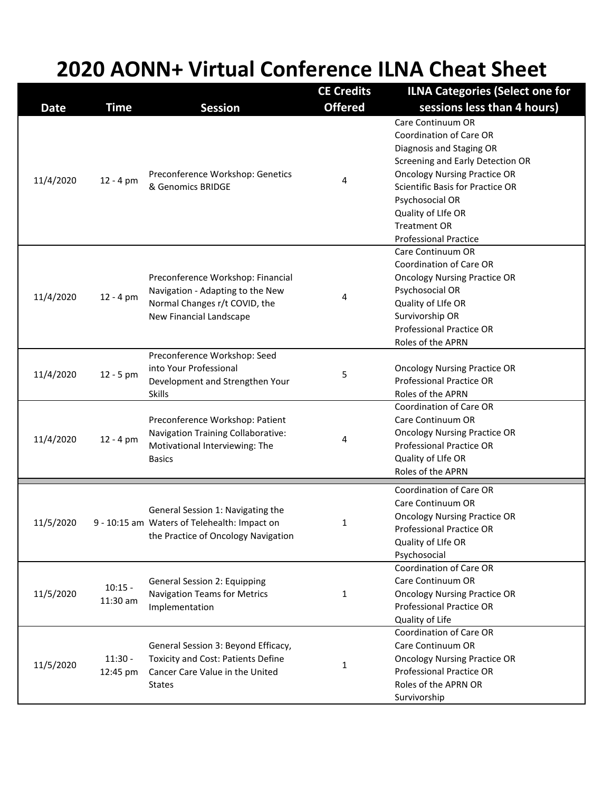## **2020 AONN+ Virtual Conference ILNA Cheat Sheet**

| <b>Date</b> | Time                  | <b>Session</b>                                                                                                                       | <b>CE Credits</b><br><b>Offered</b> | <b>ILNA Categories (Select one for</b><br>sessions less than 4 hours)                                                                                                                                                                                                                          |
|-------------|-----------------------|--------------------------------------------------------------------------------------------------------------------------------------|-------------------------------------|------------------------------------------------------------------------------------------------------------------------------------------------------------------------------------------------------------------------------------------------------------------------------------------------|
| 11/4/2020   | $12 - 4 pm$           | Preconference Workshop: Genetics<br>& Genomics BRIDGE                                                                                | 4                                   | Care Continuum OR<br><b>Coordination of Care OR</b><br>Diagnosis and Staging OR<br>Screening and Early Detection OR<br><b>Oncology Nursing Practice OR</b><br>Scientific Basis for Practice OR<br>Psychosocial OR<br>Quality of LIfe OR<br><b>Treatment OR</b><br><b>Professional Practice</b> |
| 11/4/2020   | $12 - 4 pm$           | Preconference Workshop: Financial<br>Navigation - Adapting to the New<br>Normal Changes r/t COVID, the<br>New Financial Landscape    | 4                                   | Care Continuum OR<br><b>Coordination of Care OR</b><br><b>Oncology Nursing Practice OR</b><br>Psychosocial OR<br>Quality of LIfe OR<br>Survivorship OR<br><b>Professional Practice OR</b><br>Roles of the APRN                                                                                 |
| 11/4/2020   | $12 - 5$ pm           | Preconference Workshop: Seed<br>into Your Professional<br>Development and Strengthen Your<br><b>Skills</b>                           | 5                                   | <b>Oncology Nursing Practice OR</b><br><b>Professional Practice OR</b><br>Roles of the APRN                                                                                                                                                                                                    |
| 11/4/2020   | $12 - 4 pm$           | Preconference Workshop: Patient<br>Navigation Training Collaborative:<br>Motivational Interviewing: The<br><b>Basics</b>             | 4                                   | Coordination of Care OR<br>Care Continuum OR<br><b>Oncology Nursing Practice OR</b><br><b>Professional Practice OR</b><br>Quality of LIfe OR<br>Roles of the APRN                                                                                                                              |
| 11/5/2020   |                       | General Session 1: Navigating the<br>9 - 10:15 am Waters of Telehealth: Impact on<br>the Practice of Oncology Navigation             | 1                                   | Coordination of Care OR<br>Care Continuum OR<br><b>Oncology Nursing Practice OR</b><br><b>Professional Practice OR</b><br>Quality of LIfe OR<br>Psychosocial                                                                                                                                   |
| 11/5/2020   | $10:15 -$<br>11:30 am | <b>General Session 2: Equipping</b><br>Navigation Teams for Metrics<br>Implementation                                                | $\mathbf{1}$                        | <b>Coordination of Care OR</b><br>Care Continuum OR<br><b>Oncology Nursing Practice OR</b><br><b>Professional Practice OR</b><br>Quality of Life                                                                                                                                               |
| 11/5/2020   | $11:30 -$<br>12:45 pm | General Session 3: Beyond Efficacy,<br><b>Toxicity and Cost: Patients Define</b><br>Cancer Care Value in the United<br><b>States</b> | $\mathbf{1}$                        | <b>Coordination of Care OR</b><br>Care Continuum OR<br><b>Oncology Nursing Practice OR</b><br><b>Professional Practice OR</b><br>Roles of the APRN OR<br>Survivorship                                                                                                                          |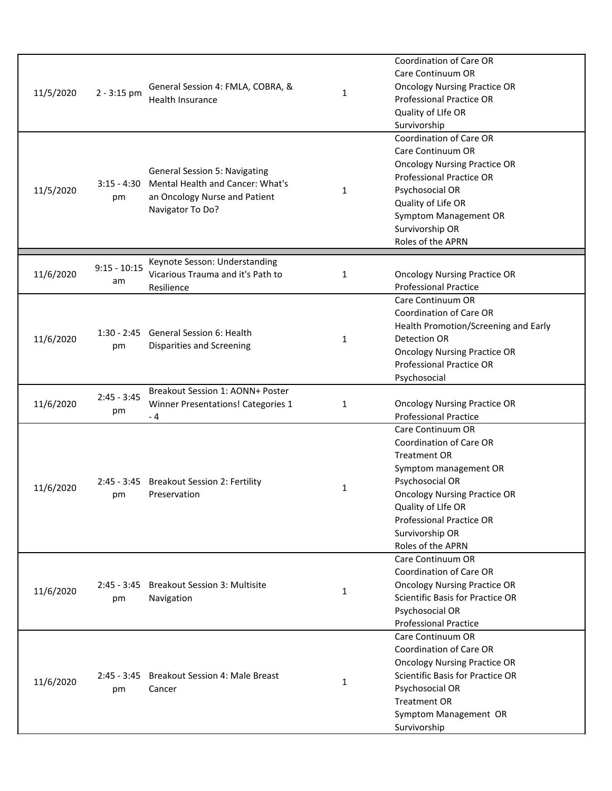| 11/5/2020 | $2 - 3:15$ pm        | General Session 4: FMLA, COBRA, &<br><b>Health Insurance</b>                                                                  | 1            | <b>Coordination of Care OR</b><br>Care Continuum OR<br><b>Oncology Nursing Practice OR</b><br><b>Professional Practice OR</b><br>Quality of LIfe OR<br>Survivorship                                                                                            |
|-----------|----------------------|-------------------------------------------------------------------------------------------------------------------------------|--------------|----------------------------------------------------------------------------------------------------------------------------------------------------------------------------------------------------------------------------------------------------------------|
| 11/5/2020 | $3:15 - 4:30$<br>pm  | <b>General Session 5: Navigating</b><br>Mental Health and Cancer: What's<br>an Oncology Nurse and Patient<br>Navigator To Do? | $\mathbf{1}$ | <b>Coordination of Care OR</b><br>Care Continuum OR<br><b>Oncology Nursing Practice OR</b><br><b>Professional Practice OR</b><br>Psychosocial OR<br>Quality of Life OR<br>Symptom Management OR<br>Survivorship OR<br>Roles of the APRN                        |
| 11/6/2020 | $9:15 - 10:15$<br>am | Keynote Sesson: Understanding<br>Vicarious Trauma and it's Path to<br>Resilience                                              | 1            | <b>Oncology Nursing Practice OR</b><br><b>Professional Practice</b>                                                                                                                                                                                            |
| 11/6/2020 | pm                   | 1:30 - 2:45 General Session 6: Health<br>Disparities and Screening                                                            | $\mathbf{1}$ | Care Continuum OR<br><b>Coordination of Care OR</b><br>Health Promotion/Screening and Early<br><b>Detection OR</b><br><b>Oncology Nursing Practice OR</b><br><b>Professional Practice OR</b><br>Psychosocial                                                   |
| 11/6/2020 | $2:45 - 3:45$<br>pm  | Breakout Session 1: AONN+ Poster<br>Winner Presentations! Categories 1<br>- 4                                                 | $\mathbf{1}$ | <b>Oncology Nursing Practice OR</b><br><b>Professional Practice</b>                                                                                                                                                                                            |
| 11/6/2020 | pm                   | 2:45 - 3:45 Breakout Session 2: Fertility<br>Preservation                                                                     | $\mathbf{1}$ | Care Continuum OR<br><b>Coordination of Care OR</b><br><b>Treatment OR</b><br>Symptom management OR<br>Psychosocial OR<br><b>Oncology Nursing Practice OR</b><br>Quality of LIfe OR<br><b>Professional Practice OR</b><br>Survivorship OR<br>Roles of the APRN |
| 11/6/2020 | pm                   | 2:45 - 3:45 Breakout Session 3: Multisite<br>Navigation                                                                       | 1            | Care Continuum OR<br><b>Coordination of Care OR</b><br><b>Oncology Nursing Practice OR</b><br><b>Scientific Basis for Practice OR</b><br>Psychosocial OR<br><b>Professional Practice</b>                                                                       |
| 11/6/2020 | pm                   | 2:45 - 3:45 Breakout Session 4: Male Breast<br>Cancer                                                                         | 1            | Care Continuum OR<br><b>Coordination of Care OR</b><br><b>Oncology Nursing Practice OR</b><br><b>Scientific Basis for Practice OR</b><br>Psychosocial OR<br><b>Treatment OR</b><br>Symptom Management OR<br>Survivorship                                       |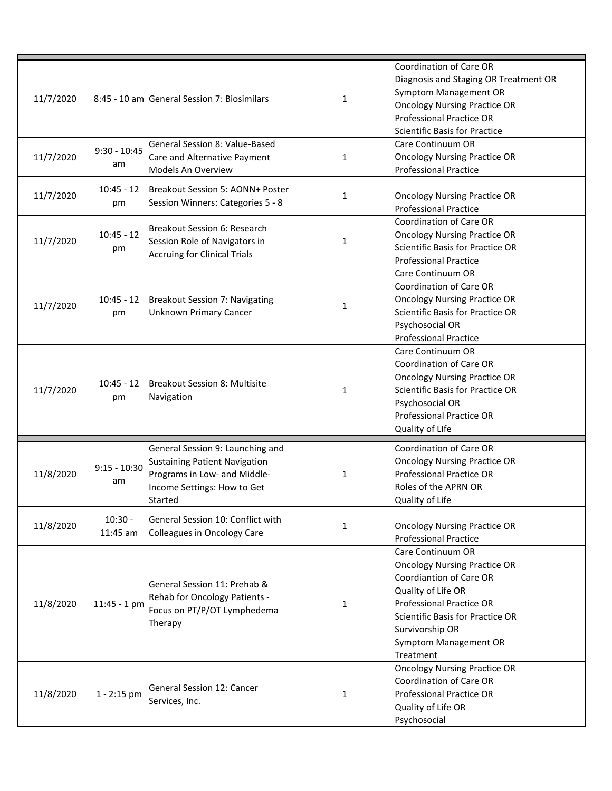| 11/7/2020 |                       | 8:45 - 10 am General Session 7: Biosimilars                                                                                                        | 1            | <b>Coordination of Care OR</b><br>Diagnosis and Staging OR Treatment OR<br>Symptom Management OR<br><b>Oncology Nursing Practice OR</b><br><b>Professional Practice OR</b><br><b>Scientific Basis for Practice</b>                                      |
|-----------|-----------------------|----------------------------------------------------------------------------------------------------------------------------------------------------|--------------|---------------------------------------------------------------------------------------------------------------------------------------------------------------------------------------------------------------------------------------------------------|
| 11/7/2020 | $9:30 - 10:45$<br>am  | General Session 8: Value-Based<br>Care and Alternative Payment<br>Models An Overview                                                               | $\mathbf{1}$ | Care Continuum OR<br><b>Oncology Nursing Practice OR</b><br><b>Professional Practice</b>                                                                                                                                                                |
| 11/7/2020 | pm                    | 10:45 - 12 Breakout Session 5: AONN+ Poster<br>Session Winners: Categories 5 - 8                                                                   | 1            | <b>Oncology Nursing Practice OR</b><br><b>Professional Practice</b>                                                                                                                                                                                     |
| 11/7/2020 | $10:45 - 12$<br>pm    | Breakout Session 6: Research<br>Session Role of Navigators in<br><b>Accruing for Clinical Trials</b>                                               | 1            | Coordination of Care OR<br><b>Oncology Nursing Practice OR</b><br><b>Scientific Basis for Practice OR</b><br><b>Professional Practice</b>                                                                                                               |
| 11/7/2020 | 10:45 - 12<br>pm      | <b>Breakout Session 7: Navigating</b><br><b>Unknown Primary Cancer</b>                                                                             | 1            | Care Continuum OR<br>Coordination of Care OR<br><b>Oncology Nursing Practice OR</b><br><b>Scientific Basis for Practice OR</b><br>Psychosocial OR<br><b>Professional Practice</b>                                                                       |
| 11/7/2020 | $10:45 - 12$<br>pm    | <b>Breakout Session 8: Multisite</b><br>Navigation                                                                                                 | $\mathbf{1}$ | Care Continuum OR<br>Coordination of Care OR<br><b>Oncology Nursing Practice OR</b><br><b>Scientific Basis for Practice OR</b><br>Psychosocial OR<br><b>Professional Practice OR</b><br>Quality of LIfe                                                 |
| 11/8/2020 | $9:15 - 10:30$<br>am  | General Session 9: Launching and<br><b>Sustaining Patient Navigation</b><br>Programs in Low- and Middle-<br>Income Settings: How to Get<br>Started | 1            | <b>Coordination of Care OR</b><br><b>Oncology Nursing Practice OR</b><br><b>Professional Practice OR</b><br>Roles of the APRN OR<br>Quality of Life                                                                                                     |
| 11/8/2020 | $10:30 -$<br>11:45 am | General Session 10: Conflict with<br><b>Colleagues in Oncology Care</b>                                                                            | 1            | <b>Oncology Nursing Practice OR</b><br><b>Professional Practice</b>                                                                                                                                                                                     |
| 11/8/2020 | $11:45 - 1$ pm        | General Session 11: Prehab &<br>Rehab for Oncology Patients -<br>Focus on PT/P/OT Lymphedema<br>Therapy                                            | $\mathbf{1}$ | Care Continuum OR<br><b>Oncology Nursing Practice OR</b><br><b>Coordiantion of Care OR</b><br>Quality of Life OR<br><b>Professional Practice OR</b><br><b>Scientific Basis for Practice OR</b><br>Survivorship OR<br>Symptom Management OR<br>Treatment |
| 11/8/2020 | $1 - 2:15$ pm         | <b>General Session 12: Cancer</b><br>Services, Inc.                                                                                                | $\mathbf{1}$ | <b>Oncology Nursing Practice OR</b><br><b>Coordination of Care OR</b><br><b>Professional Practice OR</b><br>Quality of Life OR<br>Psychosocial                                                                                                          |